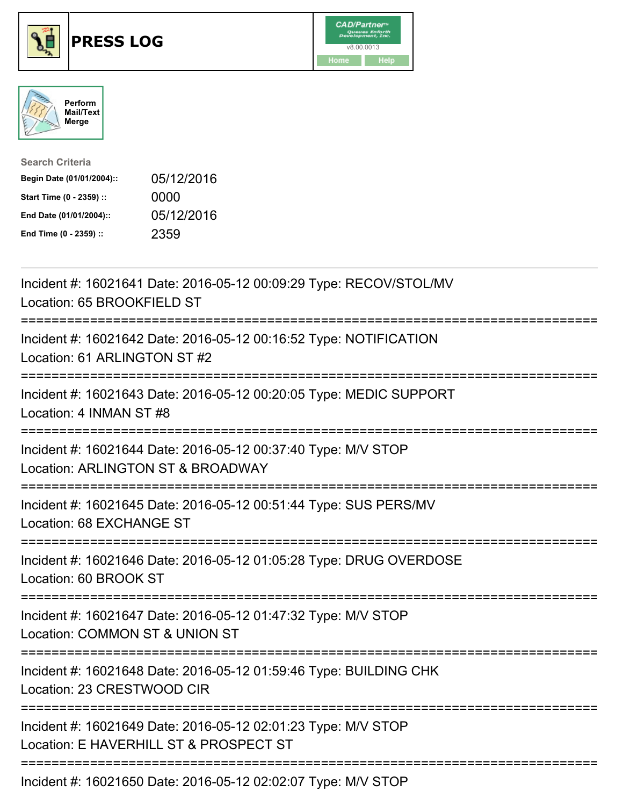





| <b>Search Criteria</b>    |            |
|---------------------------|------------|
| Begin Date (01/01/2004):: | 05/12/2016 |
| Start Time (0 - 2359) ::  | 0000       |
| End Date (01/01/2004)::   | 05/12/2016 |
| End Time (0 - 2359) ::    | 2359       |

| Incident #: 16021641 Date: 2016-05-12 00:09:29 Type: RECOV/STOL/MV<br>Location: 65 BROOKFIELD ST                      |
|-----------------------------------------------------------------------------------------------------------------------|
| Incident #: 16021642 Date: 2016-05-12 00:16:52 Type: NOTIFICATION<br>Location: 61 ARLINGTON ST #2                     |
| Incident #: 16021643 Date: 2016-05-12 00:20:05 Type: MEDIC SUPPORT<br>Location: 4 INMAN ST #8                         |
| Incident #: 16021644 Date: 2016-05-12 00:37:40 Type: M/V STOP<br>Location: ARLINGTON ST & BROADWAY                    |
| Incident #: 16021645 Date: 2016-05-12 00:51:44 Type: SUS PERS/MV<br>Location: 68 EXCHANGE ST                          |
| Incident #: 16021646 Date: 2016-05-12 01:05:28 Type: DRUG OVERDOSE<br>Location: 60 BROOK ST<br>====================   |
| Incident #: 16021647 Date: 2016-05-12 01:47:32 Type: M/V STOP<br>Location: COMMON ST & UNION ST<br>-----------        |
| Incident #: 16021648 Date: 2016-05-12 01:59:46 Type: BUILDING CHK<br>Location: 23 CRESTWOOD CIR<br>------------------ |
| Incident #: 16021649 Date: 2016-05-12 02:01:23 Type: M/V STOP<br>Location: E HAVERHILL ST & PROSPECT ST               |
| Incident #: 16021650 Date: 2016-05-12 02:02:07 Type: M/V STOP                                                         |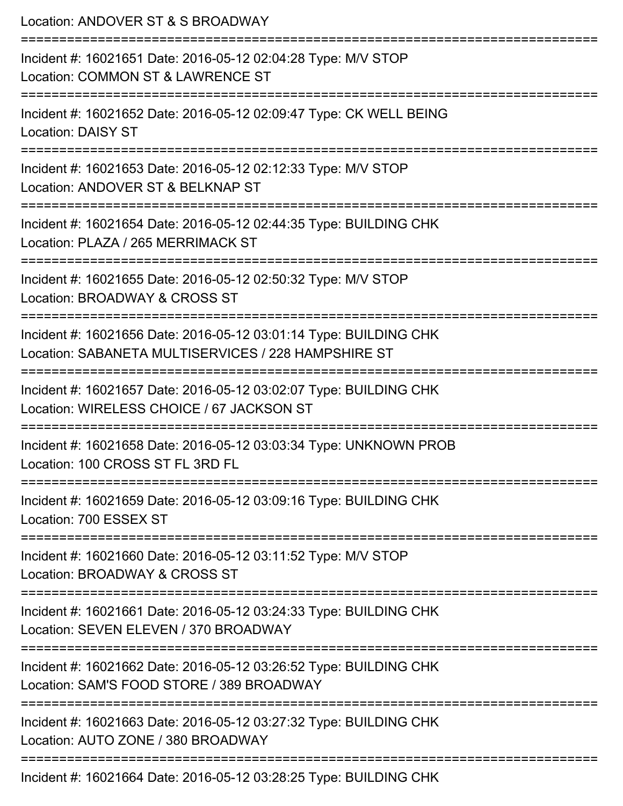Location: ANDOVER ST & S BROADWAY =========================================================================== Incident #: 16021651 Date: 2016-05-12 02:04:28 Type: M/V STOP Location: COMMON ST & LAWRENCE ST =========================================================================== Incident #: 16021652 Date: 2016-05-12 02:09:47 Type: CK WELL BEING Location: DAISY ST =========================================================================== Incident #: 16021653 Date: 2016-05-12 02:12:33 Type: M/V STOP Location: ANDOVER ST & BELKNAP ST =========================================================================== Incident #: 16021654 Date: 2016-05-12 02:44:35 Type: BUILDING CHK Location: PLAZA / 265 MERRIMACK ST =========================================================================== Incident #: 16021655 Date: 2016-05-12 02:50:32 Type: M/V STOP Location: BROADWAY & CROSS ST =========================================================================== Incident #: 16021656 Date: 2016-05-12 03:01:14 Type: BUILDING CHK Location: SABANETA MULTISERVICES / 228 HAMPSHIRE ST =========================================================================== Incident #: 16021657 Date: 2016-05-12 03:02:07 Type: BUILDING CHK Location: WIRELESS CHOICE / 67 JACKSON ST =========================================================================== Incident #: 16021658 Date: 2016-05-12 03:03:34 Type: UNKNOWN PROB Location: 100 CROSS ST FL 3RD FL =========================================================================== Incident #: 16021659 Date: 2016-05-12 03:09:16 Type: BUILDING CHK Location: 700 ESSEX ST =========================================================================== Incident #: 16021660 Date: 2016-05-12 03:11:52 Type: M/V STOP Location: BROADWAY & CROSS ST =========================================================================== Incident #: 16021661 Date: 2016-05-12 03:24:33 Type: BUILDING CHK Location: SEVEN ELEVEN / 370 BROADWAY =========================================================================== Incident #: 16021662 Date: 2016-05-12 03:26:52 Type: BUILDING CHK Location: SAM'S FOOD STORE / 389 BROADWAY =========================================================================== Incident #: 16021663 Date: 2016-05-12 03:27:32 Type: BUILDING CHK Location: AUTO ZONE / 380 BROADWAY =========================================================================== Incident #: 16021664 Date: 2016-05-12 03:28:25 Type: BUILDING CHK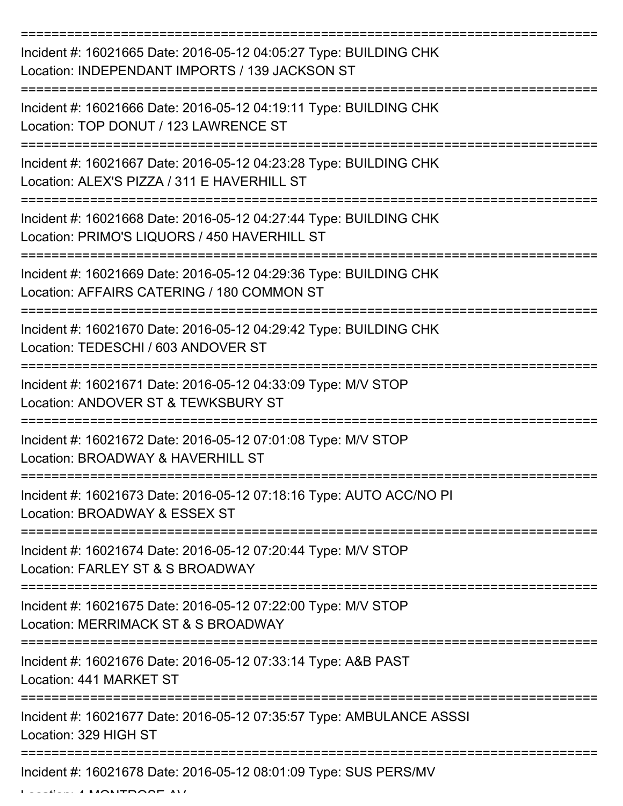| Incident #: 16021665 Date: 2016-05-12 04:05:27 Type: BUILDING CHK<br>Location: INDEPENDANT IMPORTS / 139 JACKSON ST |
|---------------------------------------------------------------------------------------------------------------------|
| Incident #: 16021666 Date: 2016-05-12 04:19:11 Type: BUILDING CHK<br>Location: TOP DONUT / 123 LAWRENCE ST          |
| Incident #: 16021667 Date: 2016-05-12 04:23:28 Type: BUILDING CHK<br>Location: ALEX'S PIZZA / 311 E HAVERHILL ST    |
| Incident #: 16021668 Date: 2016-05-12 04:27:44 Type: BUILDING CHK<br>Location: PRIMO'S LIQUORS / 450 HAVERHILL ST   |
| Incident #: 16021669 Date: 2016-05-12 04:29:36 Type: BUILDING CHK<br>Location: AFFAIRS CATERING / 180 COMMON ST     |
| Incident #: 16021670 Date: 2016-05-12 04:29:42 Type: BUILDING CHK<br>Location: TEDESCHI / 603 ANDOVER ST            |
| Incident #: 16021671 Date: 2016-05-12 04:33:09 Type: M/V STOP<br>Location: ANDOVER ST & TEWKSBURY ST                |
| Incident #: 16021672 Date: 2016-05-12 07:01:08 Type: M/V STOP<br>Location: BROADWAY & HAVERHILL ST                  |
| Incident #: 16021673 Date: 2016-05-12 07:18:16 Type: AUTO ACC/NO PI<br>Location: BROADWAY & ESSEX ST                |
| Incident #: 16021674 Date: 2016-05-12 07:20:44 Type: M/V STOP<br>Location: FARLEY ST & S BROADWAY                   |
| Incident #: 16021675 Date: 2016-05-12 07:22:00 Type: M/V STOP<br>Location: MERRIMACK ST & S BROADWAY                |
| Incident #: 16021676 Date: 2016-05-12 07:33:14 Type: A&B PAST<br>Location: 441 MARKET ST                            |
| Incident #: 16021677 Date: 2016-05-12 07:35:57 Type: AMBULANCE ASSSI<br>Location: 329 HIGH ST                       |
| Incident #: 16021678 Date: 2016-05-12 08:01:09 Type: SUS PERS/MV                                                    |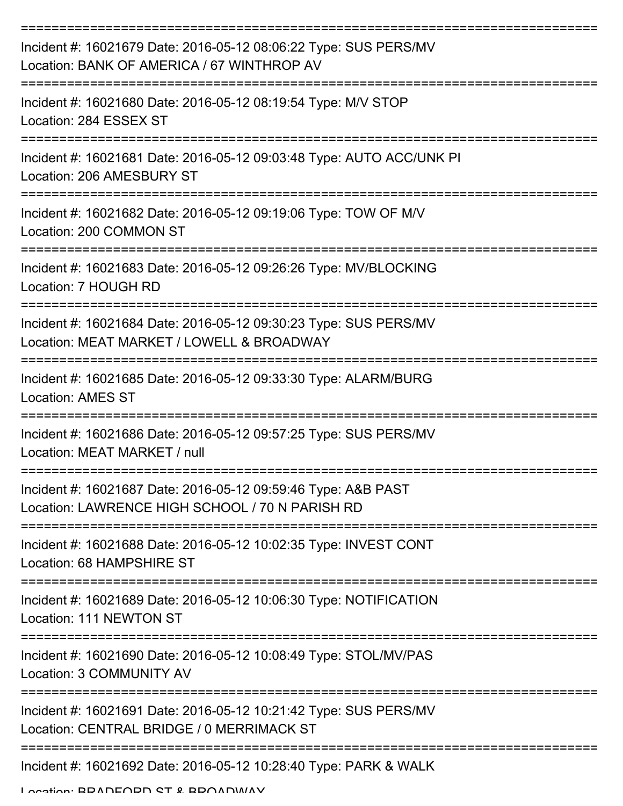| Incident #: 16021679 Date: 2016-05-12 08:06:22 Type: SUS PERS/MV<br>Location: BANK OF AMERICA / 67 WINTHROP AV   |
|------------------------------------------------------------------------------------------------------------------|
| Incident #: 16021680 Date: 2016-05-12 08:19:54 Type: M/V STOP<br>Location: 284 ESSEX ST                          |
| Incident #: 16021681 Date: 2016-05-12 09:03:48 Type: AUTO ACC/UNK PI<br>Location: 206 AMESBURY ST                |
| Incident #: 16021682 Date: 2016-05-12 09:19:06 Type: TOW OF M/V<br>Location: 200 COMMON ST                       |
| Incident #: 16021683 Date: 2016-05-12 09:26:26 Type: MV/BLOCKING<br>Location: 7 HOUGH RD                         |
| Incident #: 16021684 Date: 2016-05-12 09:30:23 Type: SUS PERS/MV<br>Location: MEAT MARKET / LOWELL & BROADWAY    |
| Incident #: 16021685 Date: 2016-05-12 09:33:30 Type: ALARM/BURG<br><b>Location: AMES ST</b>                      |
| Incident #: 16021686 Date: 2016-05-12 09:57:25 Type: SUS PERS/MV<br>Location: MEAT MARKET / null                 |
| Incident #: 16021687 Date: 2016-05-12 09:59:46 Type: A&B PAST<br>Location: LAWRENCE HIGH SCHOOL / 70 N PARISH RD |
| Incident #: 16021688 Date: 2016-05-12 10:02:35 Type: INVEST CONT<br>Location: 68 HAMPSHIRE ST                    |
| Incident #: 16021689 Date: 2016-05-12 10:06:30 Type: NOTIFICATION<br>Location: 111 NEWTON ST                     |
| Incident #: 16021690 Date: 2016-05-12 10:08:49 Type: STOL/MV/PAS<br><b>Location: 3 COMMUNITY AV</b>              |
| Incident #: 16021691 Date: 2016-05-12 10:21:42 Type: SUS PERS/MV<br>Location: CENTRAL BRIDGE / 0 MERRIMACK ST    |
| Incident #: 16021692 Date: 2016-05-12 10:28:40 Type: PARK & WALK                                                 |

Location: BRADFORD ST & BROADWAY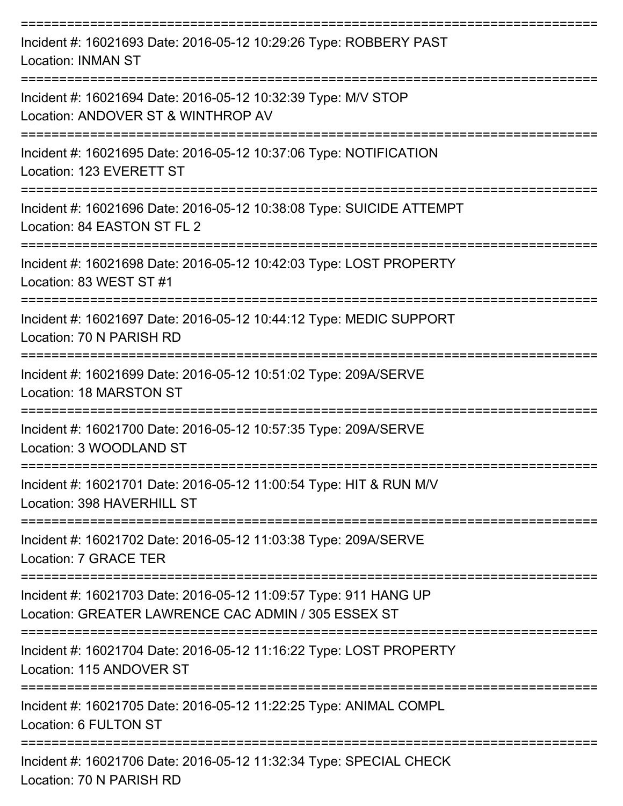| Incident #: 16021693 Date: 2016-05-12 10:29:26 Type: ROBBERY PAST<br><b>Location: INMAN ST</b>                                                           |
|----------------------------------------------------------------------------------------------------------------------------------------------------------|
| Incident #: 16021694 Date: 2016-05-12 10:32:39 Type: M/V STOP<br>Location: ANDOVER ST & WINTHROP AV                                                      |
| Incident #: 16021695 Date: 2016-05-12 10:37:06 Type: NOTIFICATION<br>Location: 123 EVERETT ST                                                            |
| Incident #: 16021696 Date: 2016-05-12 10:38:08 Type: SUICIDE ATTEMPT<br>Location: 84 EASTON ST FL 2                                                      |
| Incident #: 16021698 Date: 2016-05-12 10:42:03 Type: LOST PROPERTY<br>Location: 83 WEST ST #1                                                            |
| Incident #: 16021697 Date: 2016-05-12 10:44:12 Type: MEDIC SUPPORT<br>Location: 70 N PARISH RD                                                           |
| Incident #: 16021699 Date: 2016-05-12 10:51:02 Type: 209A/SERVE<br><b>Location: 18 MARSTON ST</b>                                                        |
| Incident #: 16021700 Date: 2016-05-12 10:57:35 Type: 209A/SERVE<br>Location: 3 WOODLAND ST                                                               |
| Incident #: 16021701 Date: 2016-05-12 11:00:54 Type: HIT & RUN M/V<br>Location: 398 HAVERHILL ST                                                         |
| Incident #: 16021702 Date: 2016-05-12 11:03:38 Type: 209A/SERVE<br>Location: 7 GRACE TER                                                                 |
| =============================<br>Incident #: 16021703 Date: 2016-05-12 11:09:57 Type: 911 HANG UP<br>Location: GREATER LAWRENCE CAC ADMIN / 305 ESSEX ST |
| Incident #: 16021704 Date: 2016-05-12 11:16:22 Type: LOST PROPERTY<br>Location: 115 ANDOVER ST                                                           |
| Incident #: 16021705 Date: 2016-05-12 11:22:25 Type: ANIMAL COMPL<br>Location: 6 FULTON ST                                                               |
| Incident #: 16021706 Date: 2016-05-12 11:32:34 Type: SPECIAL CHECK<br>Location: 70 N PARISH RD                                                           |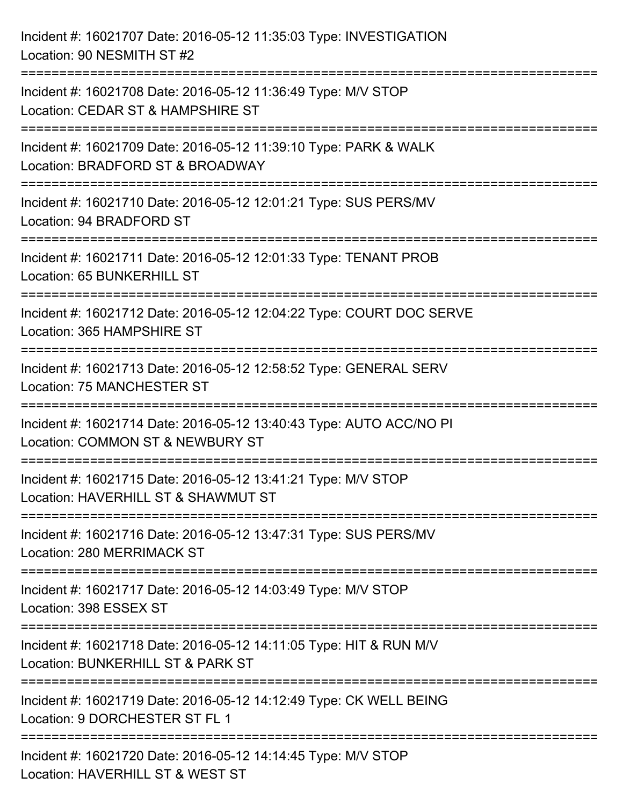Incident #: 16021707 Date: 2016-05-12 11:35:03 Type: INVESTIGATION Location: 90 NESMITH ST #2 =========================================================================== Incident #: 16021708 Date: 2016-05-12 11:36:49 Type: M/V STOP Location: CEDAR ST & HAMPSHIRE ST =========================================================================== Incident #: 16021709 Date: 2016-05-12 11:39:10 Type: PARK & WALK Location: BRADFORD ST & BROADWAY =========================================================================== Incident #: 16021710 Date: 2016-05-12 12:01:21 Type: SUS PERS/MV Location: 94 BRADFORD ST =========================================================================== Incident #: 16021711 Date: 2016-05-12 12:01:33 Type: TENANT PROB Location: 65 BUNKERHILL ST =========================================================================== Incident #: 16021712 Date: 2016-05-12 12:04:22 Type: COURT DOC SERVE Location: 365 HAMPSHIRE ST =========================================================================== Incident #: 16021713 Date: 2016-05-12 12:58:52 Type: GENERAL SERV Location: 75 MANCHESTER ST =========================================================================== Incident #: 16021714 Date: 2016-05-12 13:40:43 Type: AUTO ACC/NO PI Location: COMMON ST & NEWBURY ST =========================================================================== Incident #: 16021715 Date: 2016-05-12 13:41:21 Type: M/V STOP Location: HAVERHILL ST & SHAWMUT ST =========================================================================== Incident #: 16021716 Date: 2016-05-12 13:47:31 Type: SUS PERS/MV Location: 280 MERRIMACK ST =========================================================================== Incident #: 16021717 Date: 2016-05-12 14:03:49 Type: M/V STOP Location: 398 ESSEX ST =========================================================================== Incident #: 16021718 Date: 2016-05-12 14:11:05 Type: HIT & RUN M/V Location: BUNKERHILL ST & PARK ST =========================================================================== Incident #: 16021719 Date: 2016-05-12 14:12:49 Type: CK WELL BEING Location: 9 DORCHESTER ST FL 1 =========================================================================== Incident #: 16021720 Date: 2016-05-12 14:14:45 Type: M/V STOP Location: HAVERHILL ST & WEST ST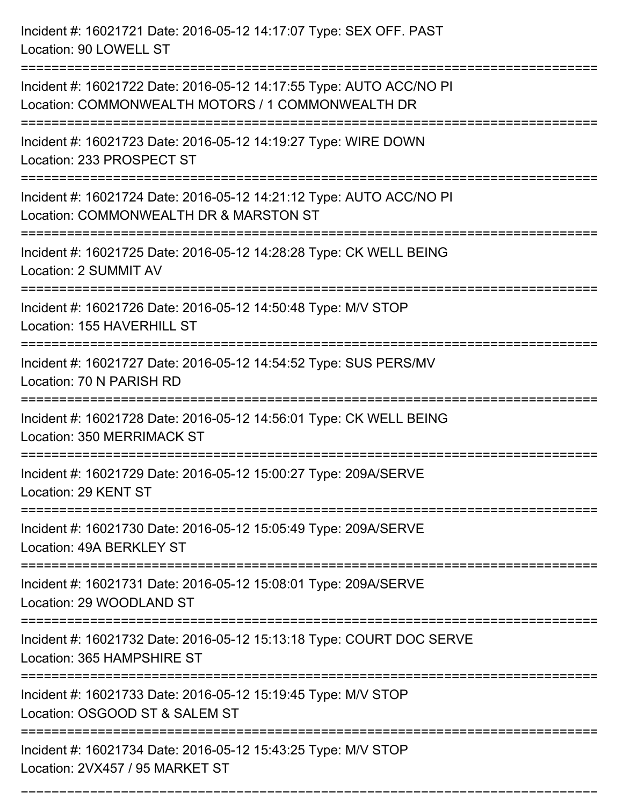Incident #: 16021721 Date: 2016-05-12 14:17:07 Type: SEX OFF. PAST Location: 90 LOWELL ST

Incident #: 16021722 Date: 2016-05-12 14:17:55 Type: AUTO ACC/NO PI Location: COMMONWEALTH MOTORS / 1 COMMONWEALTH DR

===========================================================================

===========================================================================

Incident #: 16021723 Date: 2016-05-12 14:19:27 Type: WIRE DOWN Location: 233 PROSPECT ST

===========================================================================

Incident #: 16021724 Date: 2016-05-12 14:21:12 Type: AUTO ACC/NO PI

Location: COMMONWEALTH DR & MARSTON ST

===========================================================================

Incident #: 16021725 Date: 2016-05-12 14:28:28 Type: CK WELL BEING Location: 2 SUMMIT AV

===========================================================================

Incident #: 16021726 Date: 2016-05-12 14:50:48 Type: M/V STOP Location: 155 HAVERHILL ST

===========================================================================

Incident #: 16021727 Date: 2016-05-12 14:54:52 Type: SUS PERS/MV

Location: 70 N PARISH RD

===========================================================================

Incident #: 16021728 Date: 2016-05-12 14:56:01 Type: CK WELL BEING Location: 350 MERRIMACK ST

===========================================================================

Incident #: 16021729 Date: 2016-05-12 15:00:27 Type: 209A/SERVE

Location: 29 KENT ST

===========================================================================

Incident #: 16021730 Date: 2016-05-12 15:05:49 Type: 209A/SERVE Location: 49A BERKLEY ST

===========================================================================

Incident #: 16021731 Date: 2016-05-12 15:08:01 Type: 209A/SERVE Location: 29 WOODLAND ST

===========================================================================

Incident #: 16021732 Date: 2016-05-12 15:13:18 Type: COURT DOC SERVE Location: 365 HAMPSHIRE ST

===========================================================================

Incident #: 16021733 Date: 2016-05-12 15:19:45 Type: M/V STOP

Location: OSGOOD ST & SALEM ST

===========================================================================

===========================================================================

Incident #: 16021734 Date: 2016-05-12 15:43:25 Type: M/V STOP Location: 2VX457 / 95 MARKET ST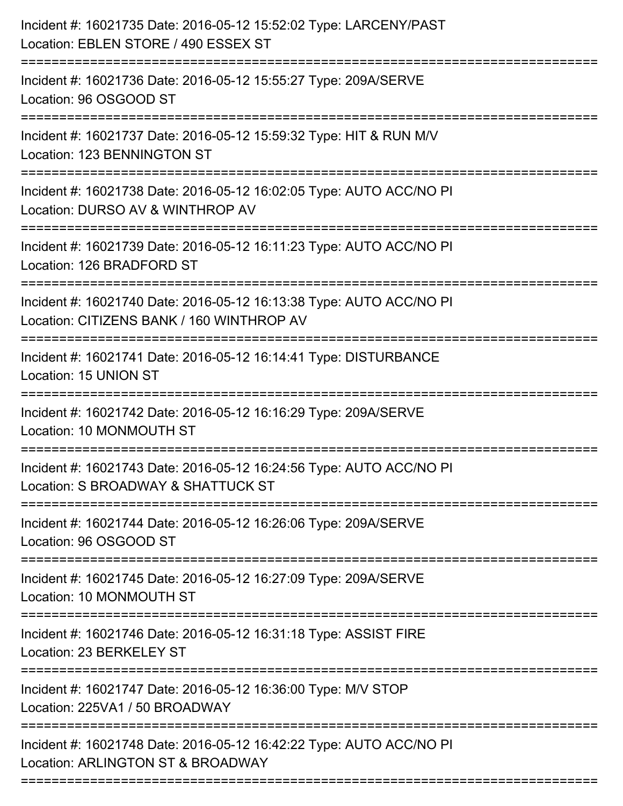| Incident #: 16021735 Date: 2016-05-12 15:52:02 Type: LARCENY/PAST<br>Location: EBLEN STORE / 490 ESSEX ST<br>:================================ |
|------------------------------------------------------------------------------------------------------------------------------------------------|
| Incident #: 16021736 Date: 2016-05-12 15:55:27 Type: 209A/SERVE<br>Location: 96 OSGOOD ST                                                      |
| Incident #: 16021737 Date: 2016-05-12 15:59:32 Type: HIT & RUN M/V<br>Location: 123 BENNINGTON ST<br>============================              |
| Incident #: 16021738 Date: 2016-05-12 16:02:05 Type: AUTO ACC/NO PI<br>Location: DURSO AV & WINTHROP AV                                        |
| Incident #: 16021739 Date: 2016-05-12 16:11:23 Type: AUTO ACC/NO PI<br>Location: 126 BRADFORD ST                                               |
| Incident #: 16021740 Date: 2016-05-12 16:13:38 Type: AUTO ACC/NO PI<br>Location: CITIZENS BANK / 160 WINTHROP AV                               |
| =================================<br>Incident #: 16021741 Date: 2016-05-12 16:14:41 Type: DISTURBANCE<br>Location: 15 UNION ST                 |
| Incident #: 16021742 Date: 2016-05-12 16:16:29 Type: 209A/SERVE<br>Location: 10 MONMOUTH ST                                                    |
| Incident #: 16021743 Date: 2016-05-12 16:24:56 Type: AUTO ACC/NO PI<br>Location: S BROADWAY & SHATTUCK ST                                      |
| Incident #: 16021744 Date: 2016-05-12 16:26:06 Type: 209A/SERVE<br>Location: 96 OSGOOD ST                                                      |
| Incident #: 16021745 Date: 2016-05-12 16:27:09 Type: 209A/SERVE<br>Location: 10 MONMOUTH ST                                                    |
| Incident #: 16021746 Date: 2016-05-12 16:31:18 Type: ASSIST FIRE<br>Location: 23 BERKELEY ST                                                   |
| Incident #: 16021747 Date: 2016-05-12 16:36:00 Type: M/V STOP<br>Location: 225VA1 / 50 BROADWAY                                                |
| Incident #: 16021748 Date: 2016-05-12 16:42:22 Type: AUTO ACC/NO PI<br>Location: ARLINGTON ST & BROADWAY                                       |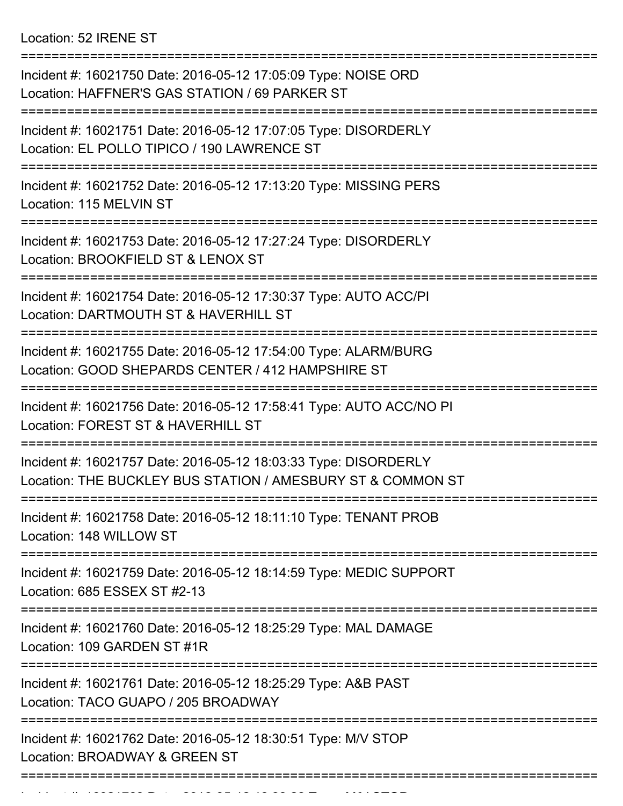Location: 52 IRENE ST

| Incident #: 16021750 Date: 2016-05-12 17:05:09 Type: NOISE ORD<br>Location: HAFFNER'S GAS STATION / 69 PARKER ST               |
|--------------------------------------------------------------------------------------------------------------------------------|
| Incident #: 16021751 Date: 2016-05-12 17:07:05 Type: DISORDERLY<br>Location: EL POLLO TIPICO / 190 LAWRENCE ST                 |
| Incident #: 16021752 Date: 2016-05-12 17:13:20 Type: MISSING PERS<br>Location: 115 MELVIN ST                                   |
| Incident #: 16021753 Date: 2016-05-12 17:27:24 Type: DISORDERLY<br>Location: BROOKFIELD ST & LENOX ST                          |
| Incident #: 16021754 Date: 2016-05-12 17:30:37 Type: AUTO ACC/PI<br>Location: DARTMOUTH ST & HAVERHILL ST                      |
| Incident #: 16021755 Date: 2016-05-12 17:54:00 Type: ALARM/BURG<br>Location: GOOD SHEPARDS CENTER / 412 HAMPSHIRE ST           |
| Incident #: 16021756 Date: 2016-05-12 17:58:41 Type: AUTO ACC/NO PI<br>Location: FOREST ST & HAVERHILL ST                      |
| Incident #: 16021757 Date: 2016-05-12 18:03:33 Type: DISORDERLY<br>Location: THE BUCKLEY BUS STATION / AMESBURY ST & COMMON ST |
| Incident #: 16021758 Date: 2016-05-12 18:11:10 Type: TENANT PROB<br>Location: 148 WILLOW ST                                    |
| Incident #: 16021759 Date: 2016-05-12 18:14:59 Type: MEDIC SUPPORT<br>Location: 685 ESSEX ST #2-13                             |
| Incident #: 16021760 Date: 2016-05-12 18:25:29 Type: MAL DAMAGE<br>Location: 109 GARDEN ST #1R                                 |
| Incident #: 16021761 Date: 2016-05-12 18:25:29 Type: A&B PAST<br>Location: TACO GUAPO / 205 BROADWAY                           |
| Incident #: 16021762 Date: 2016-05-12 18:30:51 Type: M/V STOP<br>Location: BROADWAY & GREEN ST                                 |
|                                                                                                                                |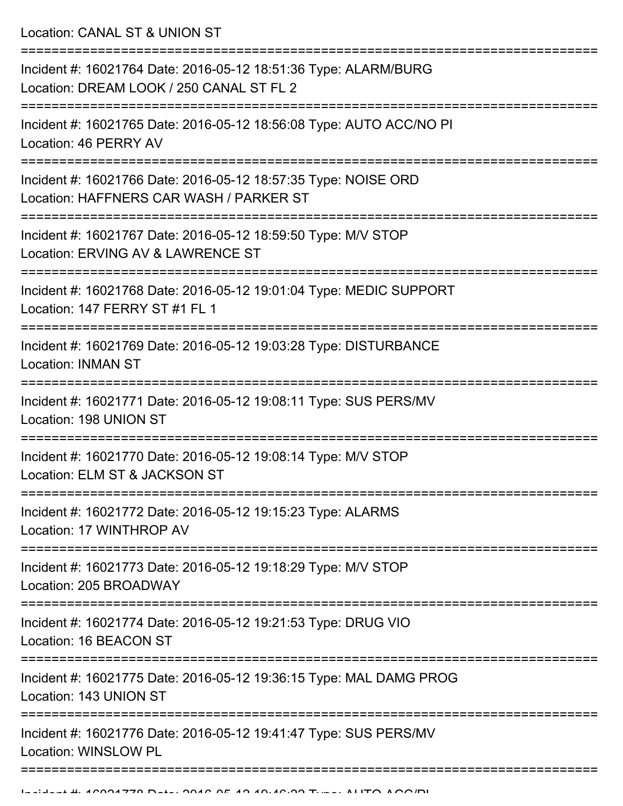Location: CANAL ST & UNION ST

| Incident #: 16021764 Date: 2016-05-12 18:51:36 Type: ALARM/BURG<br>Location: DREAM LOOK / 250 CANAL ST FL 2 |
|-------------------------------------------------------------------------------------------------------------|
| Incident #: 16021765 Date: 2016-05-12 18:56:08 Type: AUTO ACC/NO PI<br>Location: 46 PERRY AV                |
| Incident #: 16021766 Date: 2016-05-12 18:57:35 Type: NOISE ORD<br>Location: HAFFNERS CAR WASH / PARKER ST   |
| Incident #: 16021767 Date: 2016-05-12 18:59:50 Type: M/V STOP<br>Location: ERVING AV & LAWRENCE ST          |
| Incident #: 16021768 Date: 2016-05-12 19:01:04 Type: MEDIC SUPPORT<br>Location: 147 FERRY ST #1 FL 1        |
| Incident #: 16021769 Date: 2016-05-12 19:03:28 Type: DISTURBANCE<br><b>Location: INMAN ST</b>               |
| Incident #: 16021771 Date: 2016-05-12 19:08:11 Type: SUS PERS/MV<br>Location: 198 UNION ST                  |
| Incident #: 16021770 Date: 2016-05-12 19:08:14 Type: M/V STOP<br>Location: ELM ST & JACKSON ST              |
| Incident #: 16021772 Date: 2016-05-12 19:15:23 Type: ALARMS<br>Location: 17 WINTHROP AV                     |
| Incident #: 16021773 Date: 2016-05-12 19:18:29 Type: M/V STOP<br>Location: 205 BROADWAY                     |
| Incident #: 16021774 Date: 2016-05-12 19:21:53 Type: DRUG VIO<br>Location: 16 BEACON ST                     |
| Incident #: 16021775 Date: 2016-05-12 19:36:15 Type: MAL DAMG PROG<br>Location: 143 UNION ST                |
| Incident #: 16021776 Date: 2016-05-12 19:41:47 Type: SUS PERS/MV<br>Location: WINSLOW PL                    |
|                                                                                                             |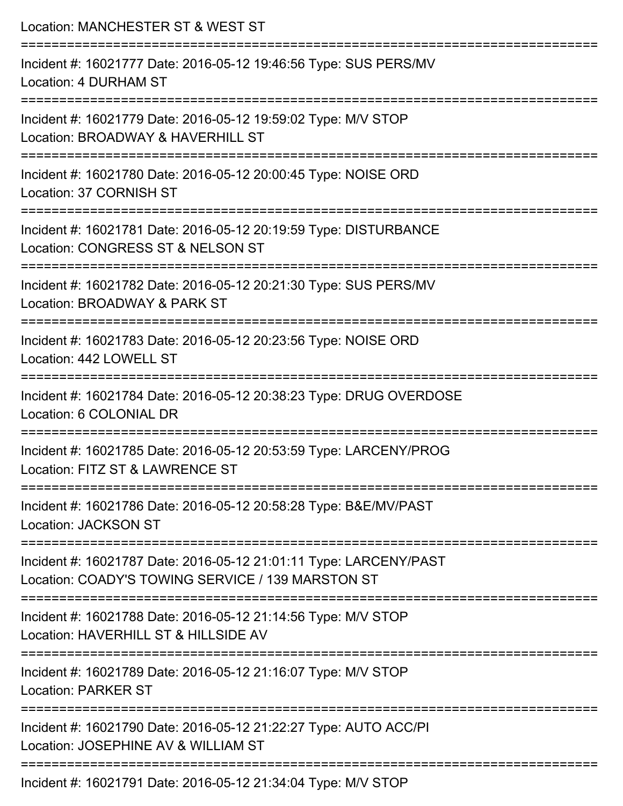| Location: MANCHESTER ST & WEST ST                                                                                      |
|------------------------------------------------------------------------------------------------------------------------|
| Incident #: 16021777 Date: 2016-05-12 19:46:56 Type: SUS PERS/MV<br>Location: 4 DURHAM ST                              |
| Incident #: 16021779 Date: 2016-05-12 19:59:02 Type: M/V STOP<br>Location: BROADWAY & HAVERHILL ST                     |
| Incident #: 16021780 Date: 2016-05-12 20:00:45 Type: NOISE ORD<br>Location: 37 CORNISH ST                              |
| Incident #: 16021781 Date: 2016-05-12 20:19:59 Type: DISTURBANCE<br>Location: CONGRESS ST & NELSON ST                  |
| Incident #: 16021782 Date: 2016-05-12 20:21:30 Type: SUS PERS/MV<br>Location: BROADWAY & PARK ST                       |
| Incident #: 16021783 Date: 2016-05-12 20:23:56 Type: NOISE ORD<br>Location: 442 LOWELL ST                              |
| Incident #: 16021784 Date: 2016-05-12 20:38:23 Type: DRUG OVERDOSE<br>Location: 6 COLONIAL DR                          |
| Incident #: 16021785 Date: 2016-05-12 20:53:59 Type: LARCENY/PROG<br>Location: FITZ ST & LAWRENCE ST                   |
| Incident #: 16021786 Date: 2016-05-12 20:58:28 Type: B&E/MV/PAST<br><b>Location: JACKSON ST</b>                        |
| Incident #: 16021787 Date: 2016-05-12 21:01:11 Type: LARCENY/PAST<br>Location: COADY'S TOWING SERVICE / 139 MARSTON ST |
| Incident #: 16021788 Date: 2016-05-12 21:14:56 Type: M/V STOP<br>Location: HAVERHILL ST & HILLSIDE AV                  |
| Incident #: 16021789 Date: 2016-05-12 21:16:07 Type: M/V STOP<br><b>Location: PARKER ST</b>                            |
| Incident #: 16021790 Date: 2016-05-12 21:22:27 Type: AUTO ACC/PI<br>Location: JOSEPHINE AV & WILLIAM ST                |
| Incident #: 16021791 Date: 2016-05-12 21:34:04 Type: M/V STOP                                                          |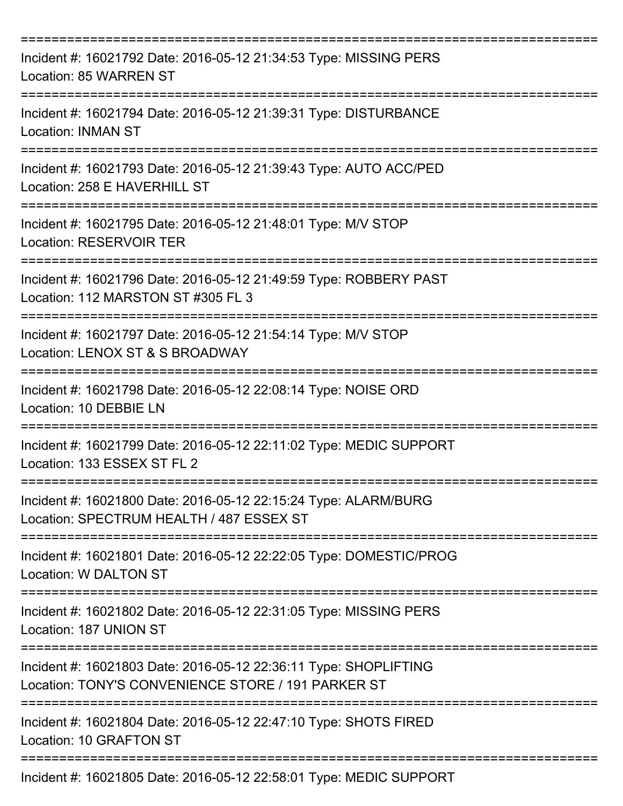| Incident #: 16021792 Date: 2016-05-12 21:34:53 Type: MISSING PERS<br>Location: 85 WARREN ST                                  |
|------------------------------------------------------------------------------------------------------------------------------|
| Incident #: 16021794 Date: 2016-05-12 21:39:31 Type: DISTURBANCE<br><b>Location: INMAN ST</b>                                |
| Incident #: 16021793 Date: 2016-05-12 21:39:43 Type: AUTO ACC/PED<br>Location: 258 E HAVERHILL ST<br>---------               |
| Incident #: 16021795 Date: 2016-05-12 21:48:01 Type: M/V STOP<br><b>Location: RESERVOIR TER</b>                              |
| =================<br>Incident #: 16021796 Date: 2016-05-12 21:49:59 Type: ROBBERY PAST<br>Location: 112 MARSTON ST #305 FL 3 |
| Incident #: 16021797 Date: 2016-05-12 21:54:14 Type: M/V STOP<br>Location: LENOX ST & S BROADWAY                             |
| Incident #: 16021798 Date: 2016-05-12 22:08:14 Type: NOISE ORD<br>Location: 10 DEBBIE LN                                     |
| Incident #: 16021799 Date: 2016-05-12 22:11:02 Type: MEDIC SUPPORT<br>Location: 133 ESSEX ST FL 2                            |
| Incident #: 16021800 Date: 2016-05-12 22:15:24 Type: ALARM/BURG<br>Location: SPECTRUM HEALTH / 487 ESSEX ST                  |
| Incident #: 16021801 Date: 2016-05-12 22:22:05 Type: DOMESTIC/PROG<br>Location: W DALTON ST                                  |
| Incident #: 16021802 Date: 2016-05-12 22:31:05 Type: MISSING PERS<br>Location: 187 UNION ST                                  |
| Incident #: 16021803 Date: 2016-05-12 22:36:11 Type: SHOPLIFTING<br>Location: TONY'S CONVENIENCE STORE / 191 PARKER ST       |
| Incident #: 16021804 Date: 2016-05-12 22:47:10 Type: SHOTS FIRED<br>Location: 10 GRAFTON ST                                  |
| Incident #: 16021805 Date: 2016-05-12 22:58:01 Type: MEDIC SUPPORT                                                           |